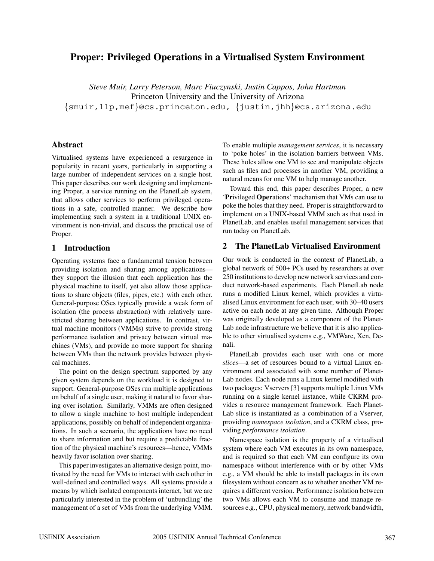# **Proper: Privileged Operations in a Virtualised System Environment**

*Steve Muir, Larry Peterson, Marc Fiuczynski, Justin Cappos, John Hartman* Princeton University and the University of Arizona {smuir,llp,mef}@cs.princeton.edu, {justin,jhh}@cs.arizona.edu

# **Abstract**

Virtualised systems have experienced a resurgence in popularity in recent years, particularly in supporting a large number of independent services on a single host. This paper describes our work designing and implementing Proper, a service running on the PlanetLab system, that allows other services to perform privileged operations in a safe, controlled manner. We describe how implementing such a system in a traditional UNIX environment is non-trivial, and discuss the practical use of Proper.

# **1 Introduction**

Operating systems face a fundamental tension between providing isolation and sharing among applications they support the illusion that each application has the physical machine to itself, yet also allow those applications to share objects (files, pipes, etc.) with each other. General-purpose OSes typically provide a weak form of isolation (the process abstraction) with relatively unrestricted sharing between applications. In contrast, virtual machine monitors (VMMs) strive to provide strong performance isolation and privacy between virtual machines (VMs), and provide no more support for sharing between VMs than the network provides between physical machines.

The point on the design spectrum supported by any given system depends on the workload it is designed to support. General-purpose OSes run multiple applications on behalf of a single user, making it natural to favor sharing over isolation. Similarly, VMMs are often designed to allow a single machine to host multiple independent applications, possibly on behalf of independent organizations. In such a scenario, the applications have no need to share information and but require a predictable fraction of the physical machine's resources—hence, VMMs heavily favor isolation over sharing.

This paper investigates an alternative design point, motivated by the need for VMs to interact with each other in well-defined and controlled ways. All systems provide a means by which isolated components interact, but we are particularly interested in the problem of 'unbundling' the management of a set of VMs from the underlying VMM. To enable multiple *management services*, it is necessary to 'poke holes' in the isolation barriers between VMs. These holes allow one VM to see and manipulate objects such as files and processes in another VM, providing a natural means for one VM to help manage another.

Toward this end, this paper describes Proper, a new '**Pr**ivileged **Oper**ations' mechanism that VMs can use to poke the holes that they need. Proper is straightforward to implement on a UNIX-based VMM such as that used in PlanetLab, and enables useful management services that run today on PlanetLab.

# **2 The PlanetLab Virtualised Environment**

Our work is conducted in the context of PlanetLab, a global network of 500+ PCs used by researchers at over 250 institutions to develop new network services and conduct network-based experiments. Each PlanetLab node runs a modified Linux kernel, which provides a virtualised Linux environment for each user, with 30–40 users active on each node at any given time. Although Proper was originally developed as a component of the Planet-Lab node infrastructure we believe that it is also applicable to other virtualised systems e.g., VMWare, Xen, Denali.

PlanetLab provides each user with one or more *slices*—a set of resources bound to a virtual Linux environment and associated with some number of Planet-Lab nodes. Each node runs a Linux kernel modified with two packages: Vservers [3] supports multiple Linux VMs running on a single kernel instance, while CKRM provides a resource management framework. Each Planet-Lab slice is instantiated as a combination of a Vserver, providing *namespace isolation*, and a CKRM class, providing *performance isolation*.

Namespace isolation is the property of a virtualised system where each VM executes in its own namespace, and is required so that each VM can configure its own namespace without interference with or by other VMs e.g., a VM should be able to install packages in its own filesystem without concern as to whether another VM requires a different version. Performance isolation between two VMs allows each VM to consume and manage resources e.g., CPU, physical memory, network bandwidth,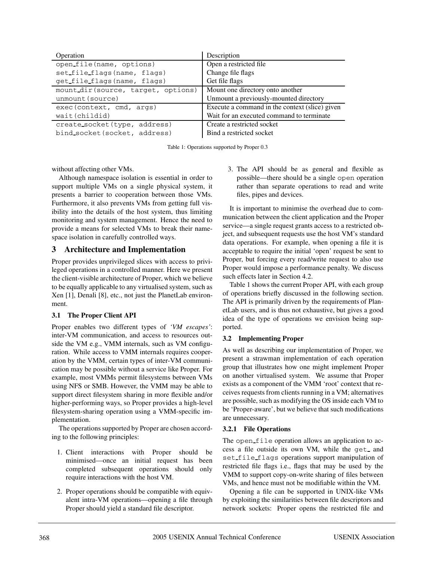| Operation                           | Description                                    |
|-------------------------------------|------------------------------------------------|
| open_file(name, options)            | Open a restricted file                         |
| set file flags (name, flags)        | Change file flags                              |
| get file flags (name, flags)        | Get file flags                                 |
| mount dir (source, target, options) | Mount one directory onto another               |
| unmount (source)                    | Unmount a previously-mounted directory         |
| exec (context, cmd, args)           | Execute a command in the context (slice) given |
| wait(childid)                       | Wait for an executed command to terminate      |
| create_socket(type, address)        | Create a restricted socket                     |
| bind_socket(socket, address)        | Bind a restricted socket                       |

Table 1: Operations supported by Proper 0.3

without affecting other VMs.

Although namespace isolation is essential in order to support multiple VMs on a single physical system, it presents a barrier to cooperation between those VMs. Furthermore, it also prevents VMs from getting full visibility into the details of the host system, thus limiting monitoring and system management. Hence the need to provide a means for selected VMs to break their namespace isolation in carefully controlled ways.

# **3 Architecture and Implementation**

Proper provides unprivileged slices with access to privileged operations in a controlled manner. Here we present the client-visible architecture of Proper, which we believe to be equally applicable to any virtualised system, such as Xen [1], Denali [8], etc., not just the PlanetLab environment.

#### **3.1 The Proper Client API**

Proper enables two different types of *'VM escapes'*: inter-VM communication, and access to resources outside the VM e.g., VMM internals, such as VM configuration. While access to VMM internals requires cooperation by the VMM, certain types of inter-VM communication may be possible without a service like Proper. For example, most VMMs permit filesystems between VMs using NFS or SMB. However, the VMM may be able to support direct filesystem sharing in more flexible and/or higher-performing ways, so Proper provides a high-level filesystem-sharing operation using a VMM-specific implementation.

The operations supported by Proper are chosen according to the following principles:

- 1. Client interactions with Proper should be minimised—once an initial request has been completed subsequent operations should only require interactions with the host VM.
- 2. Proper operations should be compatible with equivalent intra-VM operations—opening a file through Proper should yield a standard file descriptor.

3. The API should be as general and flexible as possible—there should be a single open operation rather than separate operations to read and write files, pipes and devices.

It is important to minimise the overhead due to communication between the client application and the Proper service—a single request grants access to a restricted object, and subsequent requests use the host VM's standard data operations. For example, when opening a file it is acceptable to require the initial 'open' request be sent to Proper, but forcing every read/write request to also use Proper would impose a performance penalty. We discuss such effects later in Section 4.2.

Table 1 shows the current Proper API, with each group of operations briefly discussed in the following section. The API is primarily driven by the requirements of PlanetLab users, and is thus not exhaustive, but gives a good idea of the type of operations we envision being supported.

## **3.2 Implementing Proper**

As well as describing our implementation of Proper, we present a strawman implementation of each operation group that illustrates how one might implement Proper on another virtualised system. We assume that Proper exists as a component of the VMM 'root' context that receives requests from clients running in a VM; alternatives are possible, such as modifying the OS inside each VM to be 'Proper-aware', but we believe that such modifications are unnecessary.

#### **3.2.1 File Operations**

The open file operation allows an application to access a file outside its own VM, while the get\_ and set file flags operations support manipulation of restricted file flags i.e., flags that may be used by the VMM to support copy-on-write sharing of files between VMs, and hence must not be modifiable within the VM.

Opening a file can be supported in UNIX-like VMs by exploiting the similarities between file descriptors and network sockets: Proper opens the restricted file and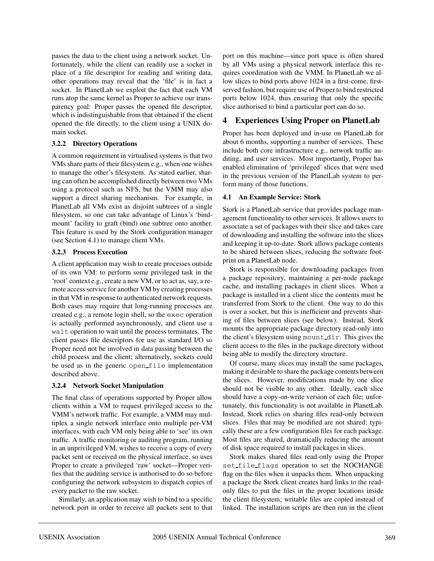passes the data to the client using a network socket. Unfortunately, while the client can readily use a socket in place of a file descriptor for reading and writing data, other operations may reveal that the 'file' is in fact a socket. In PlanetLab we exploit the fact that each VM runs atop the same kernel as Proper to achieve our transparency goal: Proper passes the opened file descriptor, which is indistinguishable from that obtained if the client opened the file directly, to the client using a UNIX domain socket.

#### **3.2.2 Directory Operations**

A common requirement in virtualised systems is that two VMs share parts of their filesystem e.g., when one wishes to manage the other's filesystem. As stated earlier, sharing can often be accomplished directly between two VMs using a protocol such as NFS, but the VMM may also support a direct sharing mechanism. For example, in PlanetLab all VMs exist as disjoint subtrees of a single filesystem, so one can take advantage of Linux's 'bindmount' facility to graft (bind) one subtree onto another. This feature is used by the Stork configuration manager (see Section 4.1) to manage client VMs.

### **3.2.3 Process Execution**

A client application may wish to create processes outside of its own VM: to perform some privileged task in the 'root' context e.g., create a new VM, or to act as, say, a remote access service for another VM by creating processes in that VM in response to authenticated network requests. Both cases may require that long-running processes are created e.g., a remote login shell, so the exec operation is actually performed asynchronously, and client use a wait operation to wait until the process terminates. The client passes file descriptors for use as standard I/O so Proper need not be involved in data passing between the child process and the client; alternatively, sockets could be used as in the generic open file implementation described above.

## **3.2.4 Network Socket Manipulation**

The final class of operations supported by Proper allow clients within a VM to request privileged access to the VMM's network traffic. For example, a VMM may multiplex a single network interface onto multiple per-VM interfaces, with each VM only being able to 'see' its own traffic. A traffic monitoring or auditing program, running in an unprivileged VM, wishes to receive a copy of every packet sent or received on the physical interface, so uses Proper to create a privileged 'raw' socket—Proper verifies that the auditing service is authorised to do so before configuring the network subsystem to dispatch copies of every packet to the raw socket.

Similarly, an application may wish to bind to a specific network port in order to receive all packets sent to that port on this machine—since port space is often shared by all VMs using a physical network interface this requires coordination with the VMM. In PlanetLab we allow slices to bind ports above 1024 in a first-come, firstserved fashion, but require use of Proper to bind restricted ports below 1024, thus ensuring that only the specific slice authorised to bind a particular port can do so.

# **4 Experiences Using Proper on PlanetLab**

Proper has been deployed and in-use on PlanetLab for about 6 months, supporting a number of services. These include both core infrastructure e.g., network traffic auditing, and user services. Most importantly, Proper has enabled elimination of 'privileged' slices that were used in the previous version of the PlanetLab system to perform many of those functions.

### **4.1 An Example Service: Stork**

Stork is a PlanetLab service that provides package management functionality to other services. It allows users to associate a set of packages with their slice and takes care of downloading and installing the software into the slices and keeping it up-to-date. Stork allows package contents to be shared between slices, reducing the software footprint on a PlanetLab node.

Stork is responsible for downloading packages from a package repository, maintaining a per-node package cache, and installing packages in client slices. When a package is installed in a client slice the contents must be transferred from Stork to the client. One way to do this is over a socket, but this is inefficient and prevents sharing of files between slices (see below). Instead, Stork mounts the appropriate package directory read-only into the client's filesystem using mount dir. This gives the client access to the files in the package directory without being able to modify the directory structure.

Of course, many slices may install the same packages, making it desirable to share the package contents between the slices. However, modifications made by one slice should not be visible to any other. Ideally, each slice should have a copy-on-write version of each file; unfortunately, this functionality is not available in PlanetLab. Instead, Stork relies on sharing files read-only between slices. Files that may be modified are not shared; typically these are a few configuration files for each package. Most files are shared, dramatically reducing the amount of disk space required to install packages in slices.

Stork makes shared files read-only using the Proper set file flags operation to set the NOCHANGE flag on the files when it unpacks them. When unpacking a package the Stork client creates hard links to the readonly files to put the files in the proper locations inside the client filesystem; writable files are copied instead of linked. The installation scripts are then run in the client